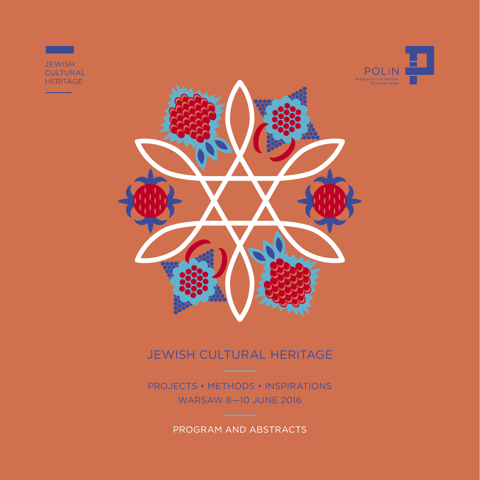

# jewish cultural heritage

Projects • Methods • Inspirations WARSaw 8—10 june 2016

Program and Abstracts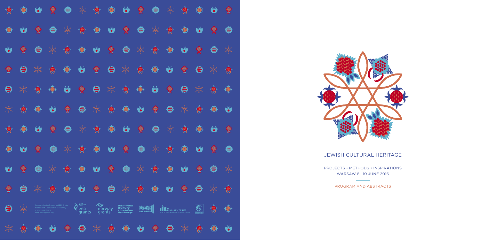# jewish cultural heritage

| ♦                    | 變             | $\bullet$                                 | ◈                                                                                |               | 米鲁画                                                 |             |               |                                                                        | 一家                          |               | $\frac{1}{2}$            |                        | 變                  |     | 豢                    |
|----------------------|---------------|-------------------------------------------|----------------------------------------------------------------------------------|---------------|-----------------------------------------------------|-------------|---------------|------------------------------------------------------------------------|-----------------------------|---------------|--------------------------|------------------------|--------------------|-----|----------------------|
| 變                    | $\bullet$     | ◈                                         |                                                                                  | $\mathbb{X}$  |                                                     | 令事业         |               | 豢                                                                      |                             | $\frac{1}{2}$ | 食動                       |                        |                    | ◈   |                      |
| $\mathbf{b}$         | 豢             |                                           | $\frac{1}{2}$                                                                    |               | 食事业                                                 |             | $\hat{R}$     |                                                                        | $\frac{1}{2}$               |               | 今变出                      |                        | <del>◆</del>       |     | $\mathbb{R}$         |
| ◈                    |               | $\frac{1}{2}$                             | 食典                                                                               |               |                                                     | *           |               | $\frac{1}{\sqrt{2}}$                                                   |                             | ●● ●          |                          | $\widehat{\mathbf{w}}$ |                    | * * |                      |
|                      | $\frac{1}{2}$ | 食                                         | ●                                                                                |               | ◆                                                   |             | $\frac{1}{2}$ | 令令心                                                                    |                             |               | 一 家                      |                        | $\frac{1}{2}$      |     | 变                    |
| $\frac{1}{\sqrt{2}}$ | 食典            |                                           |                                                                                  | *             |                                                     |             |               | 米食事业会                                                                  |                             |               |                          | $\frac{1}{2}$          |                    | 安全  |                      |
| 食                    | 变             |                                           | 豢                                                                                |               |                                                     | 米食事业        |               |                                                                        |                             |               | 米食                       |                        | 變                  |     | €                    |
| 變                    |               | ◈                                         |                                                                                  | $\frac{1}{2}$ |                                                     | ◆ ● ■ ● ●   |               |                                                                        |                             | $\frac{1}{2}$ | ● ●                      |                        |                    | 一   |                      |
| $\mathbf{w}$         | *             |                                           | $\frac{1}{2}$                                                                    |               | 食事必免费                                               |             |               |                                                                        | $*$                         | 令变            |                          |                        | ◆                  |     | $\frac{1}{\sqrt{2}}$ |
|                      |               |                                           |                                                                                  |               |                                                     |             |               |                                                                        |                             |               |                          |                        |                    |     |                      |
|                      |               | www.eeagrants.org<br>www.norwaygrants.org | Supported by the Norway and EEA Grants<br>from Iceland, Liechtenstein and Norway |               | CELAND<br>  ECHTENSTE N<br> NORWAY<br>eea<br>grants | Q<br>grants | norway        | <b>Ministerstwo</b><br><b>Kultury<br/>i Dziedzictwa</b><br>Narodowego. | KONSERWACJA]<br>DZIEDZICTWA |               | <b>ANTERIAL SENTERET</b> |                        | W<br>"NEVER AGAIN" | V   |                      |
|                      |               |                                           |                                                                                  |               |                                                     |             |               |                                                                        |                             |               |                          |                        |                    |     |                      |



Projects • Methods • Inspirations WARSaw 8—10 june 2016

Program and Abstracts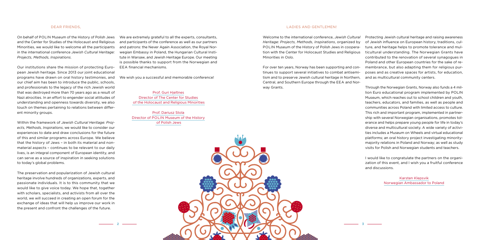

#### Dear Friends,

On behalf of POLIN Museum of the History of Polish Jews and the Center for Studies of the Holocaust and Religious Minorities, we would like to welcome all the participants in the international conference *Jewish Cultural Heritage: Projects, Methods, Inspirations*.

Our institutions share the mission of protecting European Jewish heritage. Since 2013 our joint educational programs have drawn on oral history testimonies, and our chief aim has been to introduce the public, schools, and professionals to the legacy of the rich Jewish world that was destroyed more than 70 years ago as a result of Nazi atrocities. In an effort to engender social attitudes of understanding and openness towards diversity, we also touch on themes pertaining to relations between different minority groups.

Within the framework of *Jewish Cultural Heritage: Projects, Methods, Inspirations*, we would like to consider our experiences to date and draw conclusions for the future of this and similar programs across Europe. We believe that the history of Jews – in both its material and nonmaterial aspects – continues to be relevant to our daily lives, is an integral component of European identity, and can serve as a source of inspiration in seeking solutions to today's global problems.

The preservation and popularization of Jewish cultural heritage involve hundreds of organizations, experts, and passionate individuals. It is to this community that we would like to give voice today. We hope that, together with scholars, specialists, and activists from all over the world, we will succeed in creating an open forum for the exchange of ideas that will help us improve our work in the present and confront the challenges of the future.

We are extremely grateful to all the experts, consultants, and participants of the conference as well as our partners and patrons: the Never Again Association, the Royal Norwegian Embassy in Poland, the Hungarian Cultural Institute in Warsaw, and Jewish Heritage Europe. Our meeting is possible thanks to support from the Norwegian and EEA financial mechanisms.

We wish you a successful and memorable conference!

Prof. Guri Hjeltnes Director of The Center for Studies of the Holocaust and Religious Minorities

Prof. Dariusz Stola Director of POLIN Museum of the History of Polish Jews

#### Ladies and Gentlemen!

Central, and Southern Europe through the EEA and Norway Grants.

Welcome to the international conference, *Jewish Cultural Heritage: Projects, Methods, Inspirations*, organized by POLIN Museum of the History of Polish Jews in cooperation with the Center for Holocaust Studies and Religious Minorities in Oslo. For over ten years, Norway has been supporting and continues to support several initiatives to combat antisemitism and to preserve Jewish cultural heritage in Northern, Protecting Jewish cultural heritage and raising awareness of Jewish influence on European history, traditions, culture, and heritage helps to promote tolerance and multicultural understanding. The Norwegian Grants have contributed to the renovation of several synagogues in Poland and other European countries for the sake of remembrance, but also adapting them for religious purposes and as creative spaces for artists, for education, and as multicultural community centers.

> Through the Norwegian Grants, Norway also funds a 4 million Euro educational program implemented by POLIN Museum, which reaches out to school children and youth, teachers, educators, and families, as well as people and communities across Poland with limited access to culture. This rich and important program, implemented in partnership with several Norwegian organisations, promotes tolerance and helps prepare young people for life in today's diverse and multicultural society. A wide variety of activities includes a Museum on Wheels and virtual educational platforms; an oral history project investigating minoritymajority relations in Poland and Norway; as well as study visits for Polish and Norwegian students and teachers.

> I would like to congratulate the partners on the organization of this event, and I wish you a fruitful conference and discussions.

> > Karsten Klepsvik Norwegian Ambassador to Poland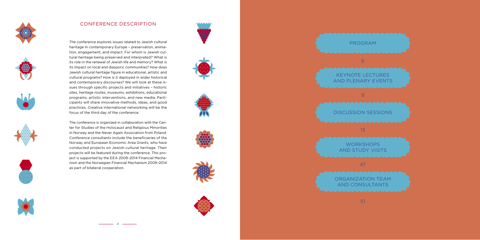











# CONFERENCE DESCRIPTI

**4**











The conference explores issues related to Jewish cultural heritage in contemporary Europe – preservation, anima tion, engagement, and impact. For whom is Jewish cul tural heritage being preserved and interpreted? What is its role in the renewal of Jewish life and memory? What is its impact on local and diasporic communities? How does Jewish cultural heritage figure in educational, artistic and cultural programs? How is it deployed in wider historical and contemporary discourses? We will look at these is sues through specific projects and initiatives – historic sites, heritage routes, museums, exhibitions, educational programs, artistic interventions, and new media. Parti cipants will share innovative methods, ideas, and good practices. Creative international networking will be the focus of the third day of the conference.

> WORKSHOPS and Study Visits

ORGANIZATION TEAM and CONSULTANTS

51

The conference is organized in collaboration with the Cen ter for Studies of the Holocaust and Religious Minorities in Norway and the Never Again Association from Poland. Conference consultants include the beneficiaries of the Norway and European Economic Area Grants, who have conducted projects on Jewish cultural heritage. Their projects will be featured during the conference. This pro ject is supported by the EEA 2009–2014 Financial Mecha nism and the Norwegian Financial Mechanism 2009–2014 as part of bilateral cooperation.

# Keynote Lectures





Discussion Sessions

13

47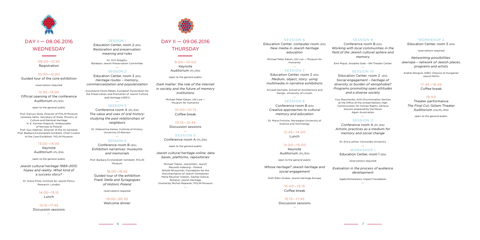

# DAY I — 08.06.2016 **WEDNESDAY**

#### SESSION 9

09:00—12:30 Registration

10:00—12:00

Guided tour of the core exhibition

reservations required

12:30—13:00 Official opening of the conference Auditorium (PL/EN)

open to the general public

Prof. Dariusz Stola, Director of POLIN Museum Jarosław Sellin, Secretary of State, Ministry of Culture and National Heritage H. E. Karsten Klepsvik, Ambassador of Norway to Poland Prof. Guri Hjeltnes, Director of the HL-Senteret Prof. Barbara Kirshenblatt-Gimblett, Chief Curator of the Core Exhibition, POLIN Museum

SESSION 1 Education Center, room 2 (EN) *Restoration and preservation: meaning and roles*

#### 13:00—14:00

Keynote Auditorium (PL/EN)

— SESSION 3

open to the general public

*Jewish cultural heritage 1989–2015: hopes and reality. What kind of a success story?*

Dr. Diana Pinto, Institute for Jewish Policy Research, London

> 14:00—15:15 Lunch

15:15—17:45 Discussion sessions

—

# DAY II — 09.06.2016 **THURSDAY**

Dr. Orit Stieglitz, Bardejov Jewish Preservation Committee

#### — Session 2

Education Center, room 3 (EN) *Heritage routes – memory, commercialization and popularization*

Assumpció Hosta Rebés, European Association for the Preservation and Promotion of Jewish Culture and Heritage (AEPJ)

#### — SESSION 7

Conference room A (PL/EN) *The value and uses of oral history: studying the past relationships of neighbors*

Dr. Dobrochna Kałwa, Institute of History, University of Warsaw —

#### Session 4

 $12.45 - 14.00$ Lunch

Conference room B (EN) *Exhibition narratives: museums and memorials*

Prof. Barbara Kirshenblatt–Gimblett, POLIN Museum

#### 18:00—18:45

Guided tour of the exhibition *Frank Stella and Synagogues of Historic Poland*

#### — SESSION 10

reservations required

#### 19:00—20:30

Welcome dinner



9:00—10:00 Keynote Auditorium (PL/EN)

open to the general public

*Dark matter: the role of the internet in society and the future of memory institutions*

> Michael Peter Edson, UN Live — Museum for Humanity

> > WORKSHOP 1 Education Center, room 1 (EN)

#### 10:00—10:15

Coffee break

10:15—12:45 Discussion sessions

— SESSION 5 Conference room A (PL/EN)

open to the general public

*Jewish cultural heritage online: data bases, platforms, repositories*

Michael Tobias, JewishGen, Jewish Records Indexing – Poland Witold Wrzosiński, Foundation for the Documentation of Jewish Cemeteries Marla Raucher Osborn, Gesher Galicia, Rohatyn Jewish Heritage chaired by Michał Majewski, POLIN Museum

—

SESSION 6

Education Center, computer room (EN) *New media in Jewish heritage education*

Michael Peter Edson, UN Live — Museum for Humanity

Education Center, room 2 (EN) *Medium, object, story: using multimedia in narrative exhibitions*

Arnaud Dechelle, School of Architecture and Design, University of Lincoln

#### — Session 8

Conference room B (EN) *Creative approaches to cultural memory and education*

Dr. Maria Fritsche, Norwegian University of Science and Technology

> 14:00—15:00 Keynote

Auditorium (PL/EN)

open to the general public

*Whose heritage? Jewish heritage and social engagement*

Ruth Ellen Gruber, Jewish Heritage Europe

15:00—15:15 Coffee break

15:15—17:45 Discussion sessions

—

Conference room B (EN) *Working with local communities in the field of the Jewish cultural sphere and memory*

Emil Majuk, Grodzka Gate – NN Theater Center

Education Center, room 2 (EN) *Social engagement – heritage of diversity or burden of xenophobia? Programs promoting open attitudes and a diverse society*

Yury Boychenko, Anti-Discrimination Section at the Office of the United Nations High Commissioner for Human Rights, Geneva Session prepared by the Never Again Association —

#### Session 11

Conference room A (PL/EN) *Artistic practices as a medium for memory and social change*

Dr. Erica Lehrer, Concordia University —

reservations required

*Evaluation in the process of audience development*

Agata Etmanowicz, Impact Foundation

#### WORKSHOP 2

—

Education Center, room 3 (EN)

reservations required

*Networking possibilities: Jewrope – network of Jewish places, programs and artists*

András Borgula, KIBIC Alliance of Hungarian Jewish NGOs

#### 17:45—18:45

Coffee break

#### 19:00

Theater performance *The Final Cut*, Gólem Theater Auditorium (HU/PL/EN)

open to the general public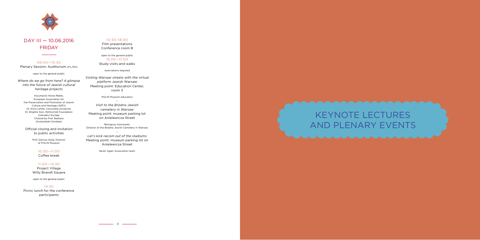

# DAY III — 10.06.2016 **FRIDAY**



09:00—10:30 Plenary Session: Auditorium (P L /EN )

open to the general public

*Where do we go from here? A glimpse into the future of Jewish cultural heritage projects*

> Assumpció Hosta Rebés, European Association for the Preservation and Promotion of Jewish Culture and Heritage (AE PJ ) Dr. Erica Lehrer, Concordia University Dr. Brigitte Sion, Rothschild Foundation ( Hanadiv) Europe Chaired by Prof. Barbara Kirshenblatt-Gimblett

Official closing and invitation to public activities

> Prof. Dariusz Stola, Director of POLIN Museum

> > 10:30—11:00

Coffee break

11:00—14:30

Project Village Willy Brandt Square

open to the general public

14:30

Picnic lunch for the conference participants

#### 10:30–18:00 Film presentations

Conference room B

open to the general public 15:30—17:00 Study visits and walks

reservations required

*Visiting Warsaw streets with the virtual platform* Jewish Warsaw Meeting point: Education Center, room 3

> POLIN Museum educators —

*Visit to the Bródno Jewish cemetery in Warsaw* Meeting point: museum parking lot on Anielewicza Street

Remigiusz Sosnowski, Director of the Bródno Jewish Cemetery in Warsaw —

*Let's kick racism out of the stadiums* Meeting point: museum parking lot on Anielewicza Street

Never Again Association team

 $\overline{\phantom{a}}$  **8**  $\overline{\phantom{a}}$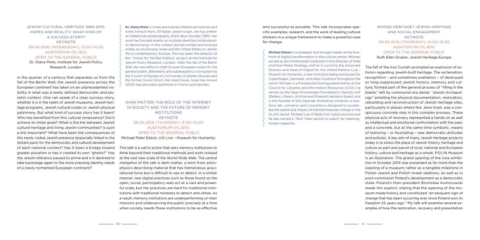and successful as possible. This talk incorporates specific examples, research, and the work of leading cultural thinkers in a unique framework to make a powerful case for change.

**Michael Edson** is a strategist and thought leader at the forefront of digital transformation in the cultural sector. Michael served as the Smithsonian Institution's first Director of Web and New Media Strategy, and he is currently the Associate Director and Head of Digital for the United Nations Live – Museum for Humanity, a new institution being envisioned for Copenhagen, Denmark, and other locations throughout the world. Michael is a Presidential Distinguished Fellow at the Council for Libraries and Information Resources (USA); he serves on the Open Knowledge Foundation's OpenGLAM (Gallery, Library, Archive and Museum) advisory board, and is the founder of the Openlab Workshop initiative, a solutions lab, convener and consultancy designed to accelerate the speed and impact of transformational change in the GLAM sector. Michael is an O'Reilly Foo Camp alumnus and he was named a "Tech Titan: person to watch" by Washingtonian magazine.

### Whose heritage? Jewish heritage and social engagement **KEYNOTE** 09.06.2016 (Thursday), 14.00–15.00 Auditorium (PL/EN) open to the general public

Ruth Ellen Gruber, Jewish Heritage Europe

The fall of the Iron Curtain prompted an explosion of activism regarding Jewish-built heritage. The reclamation, recognition – and sometimes exaltation – of destroyed or long-suppressed Jewish history, memory and culture, formed part of the general process of "filling in the blanks" left by communist-era denial. "Jewish Archaeology" entailing the physical documentation, restoration, rebuilding and reconstruction of Jewish heritage sites, particularly in places where few Jews lived, was a conspicuous concrete step in this complex process. These physical acts of recovery represented a hands-on as well as intellectual and emotional confrontation with the past, and a concrete, but at the same time symbolic, means of restoring – or illustrating – new democratic attitudes and policies. A key aim of many Jewish heritage projects today is to stress the place of Jewish history, heritage and culture as part and parcel of local, national and European history, culture and heritage as a whole. POLIN Museum is an illustration. The grand opening of the core exhibition in October 2014 was presented as far more than the opening of a museum; rather as a tangible milestone in Polish-Jewish and Polish-Israeli relations, as well as in post-communist Poland's development as a democratic state. Poland's then-president Bronisław Komorowski made this explicit, stating that the opening of the museum made history and constituted "an eloquent sign of change that has been occurring ever since Poland won its freedom 25 years ago." My talk will examine several examples of how the restoration, recovery and presentation

### Jewish cultural heritage 1989–2015: hopes and reality. What kind of a success story? **KEYNOTE** 08.06.2016 (Wednesday), 13.00–14.00 Auditorium (PL/EN) open to the general public Dr. Diana Pinto, Institute for Jewish Policy Research, London

In the quarter of a century that separates us from the fall of the Berlin Wall, the Jewish presence across the European continent has taken on an unprecedented visibility in what was a newly defined democratic and pluralist context. One can speak of a clear success story, whether it is in the realm of Jewish museums, Jewish heritage programs, Jewish cultural routes or Jewish physical patrimony. But what kind of success story has it been? Who has benefited from this cultural renaissance? Did it achieve its initial goals? What is the link between Jewish cultural heritage and living Jewish communities? Is such a link important? What have been the consequences of this newly visible Jewish presence (especially linked to the distant past) for the democratic and cultural development of each national context? Has it been a bridge toward greater pluralism or has it created its own "ghetto?" Has the Jewish reference passed its prime and is it destined to take backstage again to the more pressing identity needs of a newly tormented European continent?

**Dr. Diana Pinto** is a Harvard-trained intellectual historian and writer living in Paris. Of Italian Jewish origin, she has written an intellectual autobiography, *Entre deux mondes* (1991). Her work has focused mainly on multiple identities inside pluralist democracies. In this context she has written and lectured widely across Europe, Israel and the United States on Jewish life in contemporary Europe. She has been the director of the "Voices for the Res Publica" project at the Institute for Jewish Policy Research, London. After the fall of the Berlin Wall, she was editor-in-chief of a pan-European review for the general public, *Bélvèdere*, and subsequently a consultant to the Council of Europe on civil society in Eastern Europe and the former Soviet Union. Her latest book, *Israel has moved* (2013) has also been published in French and German.

### Dark matter: the role of the internet in society and the future of memory **INSTITUTIONS KEYNOTE** 09.06.2016 (Thursday), 9.00–10.00 Auditorium (PL/EN) open to the general public

Michael Peter Edson, UN Live – Museum for Humanity

This talk is a call to action that asks memory institutions to think beyond their traditional methods and work instead at the vast new scale of the World Wide Web. The central metaphor of the talk is dark matter, a term from astrophysics describing material that has tremendous gravitational force but is difficult to see or detect. In a similar manner, new digital practices such as those found on the open, social, participatory web act at a vast and powerful scale, but the practices are hard for traditional institutions with traditional mindsets to detect and utilize. As a result, memory institutions are underperforming on their missions and underserving the public precisely at a time when society needs these institutions to be as effective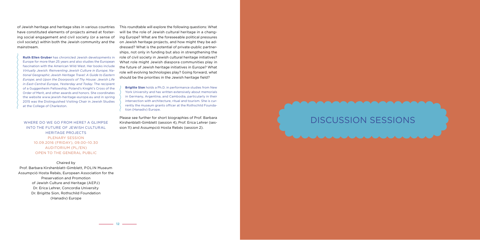of Jewish heritage and heritage sites in various countries have constituted elements of projects aimed at fostering social engagement and civil society (or a sense of civil society) within both the Jewish community and the mainstream.

**Ruth Ellen Gruber** has chronicled Jewish developments in Europe for more than 25 years and also studies the European fascination with the American Wild West. Her books include *Virtually Jewish: Reinventing Jewish Culture in Europe*; *National Geographic Jewish Heritage Travel: A Guide to Eastern Europe*; and *Upon the Doorposts of Thy House: Jewish Life in East-Central Europe, Yesterday and Today*. The recipient of a Guggenheim Fellowship, Poland's Knight's Cross of the Order of Merit, and other awards and honors. She coordinates the website www.jewish-heritage-europe.eu and in spring 2015 was the Distinguished Visiting Chair in Jewish Studies at the College of Charleston.

Where do we go from here? A glimpse into the future of Jewish cultural heritage projects Plenary session 10.09.2016 (Friday), 09.00–10.30 Auditorium (PL/EN) open to the general public

Chaired by Prof. Barbara Kirshenblatt–Gimblett, POLIN Museum Assumpció Hosta Rebés, European Association for the Preservation and Promotion of Jewish Culture and Heritage (AEPJ) Dr. Erica Lehrer, Concordia University Dr. Brigitte Sion, Rothschild Foundation (Hanadiv) Europe

**12** <del>12</del>

This roundtable will explore the following questions: What will be the role of Jewish cultural heritage in a changing Europe? What are the foreseeable political pressures on Jewish heritage projects, and how might they be addressed? What is the potential of private-public partnerships, not only in funding but also in strengthening the role of civil society in Jewish cultural heritage initiatives? What role might Jewish diaspora communities play in the future of Jewish heritage initiatives in Europe? What role will evolving technologies play? Going forward, what should be the priorities in the Jewish heritage field?

**Brigitte Sion** holds a Ph.D. in performance studies from New York University and has written extensively about memorials in Germany, Argentina, and Cambodia, particularly in their intersection with architecture, ritual and tourism. She is currently the museum grants officer at the Rothschild Foundation (Hanadiv) Europe.

Please see further for short biographies of Prof. Barbara Kirshenblatt-Gimblett (session 4), Prof. Erica Lehrer (session 11) and Assumpció Hosta Rebés (session 2).

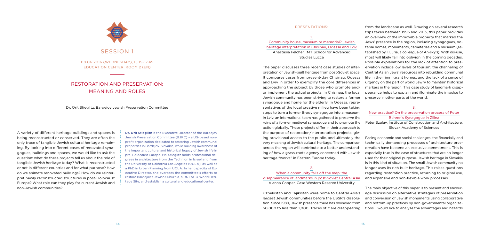A variety of different heritage buildings and spaces is being reconstructed or conserved. They are often the only trace of tangible Jewish cultural heritage remaining. By looking into different cases of renovated synagogues, buildings and spaces, we would like to ask the question: what do these projects tell us about the role of tangible Jewish heritage today? What is reconstructed or not in different countries and for what purpose? How do we animate renovated buildings? How do we reinterpret newly reconstructed structures in post-Holocaust Europe? What role can they play for current Jewish and non-Jewish communities?

**Dr. Orit Stieglitz** is the Executive Director of the Bardejov Jewish Preservation Committee (BJPC) – a US-based nonprofit organization dedicated to restoring Jewish communal properties in Bardejov, Slovakia, while building awareness of the important cultural and historical legacy of Jewish life in pre-Holocaust Europe. Ms. Stieglitz holds professional degrees in architecture from the Technion in Israel and from the University of California Los Angeles (UCLA), as well as a PhD in Urban Planning from UCLA. In her capacity of Executive Director, she oversees the committee's efforts to restore Bardejov's Jewish Suburbia, a UNESCO World Heritage Site, and establish a cultural and educational center.

#### Presentations:

1. Community house, museum or memorial? Jewish heritage interpretation in Chisinau, Odessa and Lviv Anastasia Felcher, IMT School for Advanced Studies Lucca

# Alanna Cooper, Case Western Reserve University

The paper discusses three recent case studies of interpretation of Jewish-built heritage from post-Soviet space. It compares cases from present-day Chisinau, Odessa and Lviv in order to exemplify the core differences in approaching the subject by those who promote and/ or implement the actual projects. In Chisinau, the local Jewish community has been striving to restore a former synagogue and home for the elderly. In Odessa, representatives of the local creative milieu have been taking steps to turn a former Brody synagogue into a museum. In Lviv, an international team has gathered to preserve the ruins of a former medieval synagogue and to promote the action globally. These projects differ in their approach to the purpose of restoration/interpretation projects, giving provisional access to the public, and ultimately the very meaning of Jewish cultural heritage. The comparison across the region will contribute to a better understanding of how a grass-roots agency concerned with Jewish heritage "works" in Eastern Europe today. 2. When a community falls off the map: the disappearance of landmarks in post-Soviet Central Asia Central Asian Jews' resources into rebuilding communal life in their immigrant homes; and the lack of a sense of urgency on the part of world Jewry to maintain historical markers in the region. This case study of landmark disappearance helps to explain and illuminate the impulse to preserve in other parts of the world. 3. New practice? On the preservation process of Peter Behren's Synagogue in Žilina Peter Szalay, Institute of Construction and Architecture, Slovak Academy of Sciences Facing economic and social challenges, the financially and technically demanding processes of architecture preservation have become an exclusive commitment. This is especially true in the case of structures that are no longer used for their original purpose. Jewish heritage in Slovakia is in this kind of situation. The small Jewish community no longer uses its rich built heritage. This raises questions regarding restoration practice, returning to original use, and expansive and non-flexible work processes.

from the landscape as well. Drawing on several research trips taken between 1993 and 2013, this paper provides an overview of the immovable property that marked the Jews' presence in the region, including synagogues, notable homes, monuments, cemeteries and a museum (established by I. Lurie, a colleague of An-sky's). With dis-use, most will likely fall into oblivion in the coming decades. Possible explanations for the lack of attention to preservation include low levels of tourism; the channeling of

Uzbekistan and Tajikistan were home to Central Asia's largest Jewish communities before the USSR's dissolution. Since 1989, Jewish presence there has dwindled from 50,000 to less than 1,000. Traces of it are disappearing The main objective of this paper is to present and encourage discussion on alternative strategies of preservation and conversion of Jewish monuments using collaborative and bottom-up practices by non-governmental organizations. I would like to analyze the advantages and hazards



08.06.2016 (Wednesday), 15.15–17.45 Education Center, Room 2 (EN)

# Restoration and preservation: meaning and roles

Dr. Orit Stieglitz, Bardejov Jewish Preservation Committee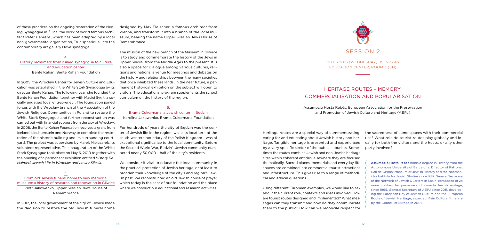Heritage routes are a special way of commemorating, caring for and educating about Jewish history and heritage. Tangible heritage is presented and experienced by a very specific sector of the public – tourists. Sometimes the routes combine Jewish and non-Jewish heritage sites within coherent entities, elsewhere they are focused thematically. Sacred places, memorials and everyday-life spaces are combined into commercial tourist attractions and infrastructure. This gives rise to a range of methodical and ethical questions. the sacredness of some spaces with their commercial use? What role do tourist routes play globally and locally for both the visitors and the hosts, or any other party involved? **Assumpció Hosta Rebés** holds a degree in History from the Autonomous University of Barcelona. Director of Patronat Call de Girona: Museum of Jewish History and the Nahmanides Institute for Jewish Studies since 1987. General Secretary

Using different European examples, we would like to ask about the current role, contexts and ideas involved. How are tourist routes designed and implemented? What messages can they transmit and how do they communicate them to the public? How can we reconcile respect for of the Network of Jewish Quarters in Spain, composed of 24 municipalities that preserve and promote Jewish heritage, since 1995. General Secretary of AEPJ since 2011, developing the European Day of Jewish Culture and the European Route of Jewish Heritage, awarded Main Cultural Itinerary by the Council of Europe in 2005*.*

of these practices on the ongoing restoration of the Neolog Synagogue in Žilina, the work of world famous architect Peter Behrens, which has been adapted by a local non-governmental organization, Truc sphérique, into the contemporary art gallery Nová synagóga.

4. History reclaimed: from ruined synagogue to culture and education center Bente Kahan, Bente Kahan Foundation

In 2005, the Wrocław Center for Jewish Culture and Education was established in the White Stork Synagogue by its director Bente Kahan. The following year, she founded the Bente Kahan Foundation together with Maciej Sygit, a socially engaged local entrepreneur. The foundation joined forces with the Wrocław branch of the Association of the Jewish Religious Communities in Poland to restore the White Stork Synagogue, and further reconstruction was carried out with financial support from the city of Wrocław. In 2008, the Bente Kahan Foundation received a grant from Iceland, Liechtenstein and Norway to complete the restoration of the historic building and its surrounding courtyard. The project was supervised by Marek Mielczarek, its volunteer representative. The inauguration of the White Stork Synagogue took place on May 6, 2010 together with the opening of a permanent exhibition entitled *History Reclaimed: Jewish Life in Wrocław and Lower Silesia*.

#### 5.

From old Jewish funeral home to new memorial museum: a history of research and renovation in Gliwice Piotr Jakoweńko, Upper Silesian Jews House of Remembrance

In 2012, the local government of the city of Gliwice made the decision to restore the old Jewish funeral home

designed by Max Fleischer, a famous architect from Vienna, and transform it into a branch of the local museum, bearing the name Upper Silesian Jews House of Remembrance.

The mission of the new branch of the Museum in Gliwice is to study and commemorate the history of the Jews in Upper Silesia, from the Middle Ages to the present. It is also a space for dialogue among various cultures, religions and nations, a venue for meetings and debates on the history and relationships between the many societies that once inhabited these lands. In the near future, a permanent historical exhibition on the subject will open to visitors. The educational program supplements the school curriculum on the history of the region.

#### 6. Brama Cukermana: a Jewish center in Będzin

Karolina Jakoweńko, Brama Cukermana Foundation

For hundreds of years the city of Będzin was the center of Jewish life in the region, while its location – at the south-western boundary of the Polish Kingdom – was of exceptional significance to the local community. Before the Second World War, Będzin's Jewish community numbered nearly 30,000 – half of the city's residents.

We consider it vital to educate the local community in the practical protection of Jewish heritage, or at least to broaden their knowledge of the city's and region's Jewish past. We reconstructed an old Jewish house of prayer which today is the seat of our foundation and the place where we conduct our educational and research activities.



08.06.2016 (Wednesday), 15.15–17.45 Education Center, Room 3 (EN)

# Heritage routes – memory, commercialisation and popularisation

Assumpció Hosta Rebés, European Association for the Preservation and Promotion of Jewish Culture and Heritage (AEPJ)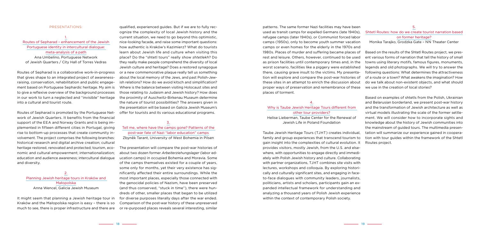4.

### Why is Taube Jewish Heritage Tours different from other tour providers? Helise Lieberman, Taube Center for the Renewal of

Jewish Life in Poland Foundation

patterns. The same former Nazi facilities may have been used as transit camps for expelled Germans (late 1940s), refugee camps (later 1940s), or Communist forced labor camps (1950s), only to become youth summer vacation camps or even homes for the elderly in the 1970s and 1980s. Places of murder and suffering became places of rest and leisure. Others, however, continued to be used as prison facilities until contemporary times and, in the worst scenario, facilities like a piggery were established there, causing grave insult to the victims. My presentation will explore and compare the post-war histories of these sites in an attempt to enrich the discussion about proper ways of preservation and remembrance of these places of torment. Shtetl Routes: how do we create tourist narration based on former heritage? Monika Tarajko, Grodzka Gate – NN Theater Center Based on the results of the Shtetl Routes project, we present various forms of narration that tell the history of small towns using literary motifs, famous figures, monuments, legends and old photographs. We will try to answer the following questions: What determines the attractiveness of a route or a town? What awakens the imagination? How do we talk about non-existent objects, and what should we use in the creation of local stories?

Taube Jewish Heritage Tours (TJHT) creates individual, family and group experiences that transcend tourism to gain insight into the complexities of cultural evolution. It provides visitors, mostly Jewish, from the U.S. and elsewhere, with opportunities to engage directly and immediately with Polish Jewish history and culture. Collaborating with partner organizations, TJHT combines site visits with lectures, workshops and colloquia. By exploring historically and culturally significant sites, and engaging in faceto-face dialogues with community leaders, journalists, politicians, artists and scholars, participants gain an expanded intellectual framework for understanding and analyzing a thousand years of Polish Jewish experience within the context of contemporary Polish society.

#### 5.

Based on examples of shtetls from the Polish, Ukrainian and Belarusian borderland, we present post-war history and the transformation of Jewish architecture as well as virtual models illustrating the scale of the former settlement. We will consider how to incorporate sights and knowledge about the history of Jewish communities into the mainstream of guided tours. The multimedia presentation will summarize our experience gained in cooperation with tour guides within the framework of the Shtetl Routes project.

#### Presentations:

### 1. Routes of Sepharad – enhancement of the Jewish Portuguese identity in intercultural dialogue: meta-analysis of a path Ana Umbelino, Portuguese Network of Jewish Quarters / City Hall of Torres Vedras

Routes of Sepharad is a collaborative work-in-progress that gives shape to an integrated project of awarenessraising, conservation, rehabilitation and public engagement based on Portuguese Sephardic heritage. My aim is to give a reflexive overview of the background processes in our work to turn a neglected and "invisible" heritage into a cultural and tourist route.

Routes of Sepharad is promoted by the Portuguese Network of Jewish Quarters. It benefits from the financial support of the EEA and Norway Grants and is being implemented in fifteen different cities in Portugal, giving rise to bottom-up processes that create community involvement. The project comprises the following branches: historical research and digital archive creation; cultural heritage restored, renovated and protected; tourism, economic and cultural empowerment; internationalization; education and audience awareness; intercultural dialogue and diversity.

2. Planning Jewish heritage tours in Kraków and Małopolska Anna Wencel, Galicia Jewish Museum

It might seem that planning a Jewish heritage tour in Kraków and the Małopolska region is easy – there is so much to see, there is proper infrastructure and there are

qualified, experienced guides. But if we are to fully recognize the complexity of local Jewish history and the current situation, we need to go beyond this optimistic, nice-looking facade, and raise some important questions: how authentic is Kraków's Kazimierz? What do tourists learn about Jewish life and culture when visiting this place? Do the "shtetl tours" really show *shtetlekh*? Do they really make people comprehend the diversity of local Jewish culture and heritage? Does a restored synagogue or a new commemorative plaque really tell us something about the local memory of the Jews, and past Polish-Jewish relations? How do we avoid kitsch and simplification? Where is the balance between visiting Holocaust sites and those relating to Judaism and Jewish history? How does the proximity of Auschwitz-Birkenau Museum determine the nature of tourist possibilities? The answers given in the presentation will be based on Galicia Jewish Museum's offer for tourists and its various educational programs.

### 3. Tell me, where have the camps gone? Patterns of the post-war fate of Nazi "labor education" camps Zbyněk Tarant, University of West Bohemia in Pilsen

The presentation will compare the post-war histories of about two dozen former *Arbeiterziehungslager* (labor education camps) in occupied Bohemia and Moravia. Some of the camps themselves existed for a couple of years, some only for months, yet their very existence has significantly affected their entire surroundings. While the most important places, especially those connected with the genocidal policies of Nazism, have been preserved (and thus conserved, "stuck in time"), there were hundreds of other, smaller places that began to be utilized for diverse purposes literally days after the war ended. Comparison of the post-war history of these unpreserved or re-purposed places reveals several interesting, similar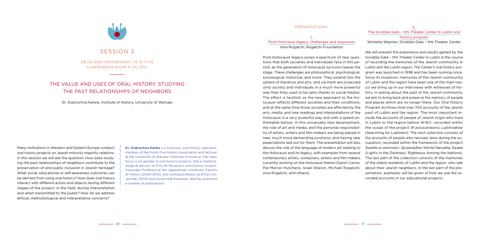#### Presentations:

1. Post-Holocaust legacy: challenges and responses Inna Rogatchi, Rogatchi Foundation

#### 2.

#### The Grodzka Gate – NN Theater Center in Lublin oral history program

Wioletta Wejman, Grodzka Gate – NN Theater Center

Post-Holocaust legacy poses a spectrum of new questions that both societies and individuals face in this period, as the generation of Holocaust survivors leaves the stage. These challenges are philosophical, psychological, sociological, historical, and more. They extend into the sphere of literature and arts, and via them are projected onto society and individuals in a much more powerful way than they used to be (also thanks to social media). The effect is twofold, as the new approach to the Holocaust reflects different societies and their conditions, and at the same time those societies are affected by the arts, media, and new readings and interpretations of the Holocaust in a very powerful way and with a speed unthinkable before. In this universally new development, the role of art and media, and the personal responsibility of artists, writers and film-makers are being placed in new, much more demanding positions, and having new expectations laid out for them. The presentation will also discuss the role of the language of modern art relating to the Holocaust and its legacy, with examples from several contemporary artists, composers, writers and film-makers currently working on the Holocaust theme (Gianni Carino, Pat Mercer Hutchens, Israel Sharon, Michael Rogatchi, Inna Rogatchi, and others). We will present the experience and results gained by the Grodzka Gate – NN Theater Center in Lublin in the course of recording the memories of the Jewish community in Lublin and the Lublin region. The Center's oral history program was launched in 1998 and has been running since. Since its inception, memories of the Jewish community of Lublin and the region have been one of the main topics we bring up in our interviews with witnesses of history. In asking about the past of the Jewish community we aim to bring back and preserve the memory of people and places which are no longer there. Our Oral History Program Archives hold over 700 accounts of the Jewish past of Lublin and the region. The most important include the accounts of people of Jewish origin who lived in Lublin or the region before WWII, recorded within the scope of the project *W poszukiwaniu Lubliniaków* (Searching for Lubliners). The next collection consists of the accounts of people who rescued Jews during the occupation, recorded within the framework of the project *Światła w ciemności. Sprawiedliwi Wśród Narodów Świata* (Lights in the Darkness. Righteous Among the Nations). The last part of the collection consists of the memories of the oldest residents of Lublin and the region, who talk about their Jewish neighbors. In the last part of the presentation, examples will be given of how we use the recorded accounts in our educational projects.

# SESSION 3

Many institutions in Western and Eastern Europe conduct oral history projects on Jewish minority-majority relations. In this session we will ask the question: How does studying the past relationships of neighbors contribute to the preservation of and public inclusion in Jewish heritage? What social, educational or self-awareness outcomes can be derived from using oral history? How does oral history interact with different actors and objects during different stages of the project: in the field, during interpretation and when transmitted to the public? How do we address ethical, methodological and interpretative concerns?

**Dr. Dobrochna Kałwa** is a historian, oral history specialist, member of the Polish Oral History Association and lecturer at the University of Warsaw (Institute of History). Her main focus is on gender in oral history projects. She is methodological advisor to POLIN Museum's oral history project, Associate Professor at the Jagiellonian University, Faculty of History (2000-2012), and visiting professor at Erfurt Universität (2010) and Universität Konstanz. She has authored a number of publications.

08.06.2016 (Wednesday), 15.15–17.45 Conference room A (PL/EN)

# The value and uses of oral history: studying the past relationships of neighbors

Dr. Dobrochna Kałwa, Institute of History, University of Warsaw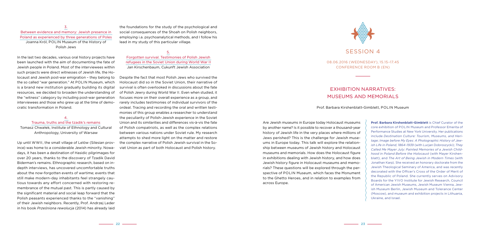# SESSION 4

Are Jewish museums in Europe today Holocaust museums by another name? Is it possible to recover a thousand-year history of Jewish life in the very places where millions of Jews perished? This is the challenge for Jewish museums in Europe today. This talk will explore the relationship between museums of Jewish history and Holocaust museums and memorials. How does the Holocaust figure in exhibitions dealing with Jewish history, and how does Jewish history figure in Holocaust museums and memorials? These questions will be explored through the perspective of POLIN Museum, which faces the Monument to the Ghetto Heroes, and in relation to examples from across Europe.

**Prof. Barbara Kirshenblatt-Gimblett** is Chief Curator of the core exhibition of POLIN Museum and Professor Emerita of Performance Studies at New York University. Her publications include *Destination Culture: Tourism, Museums, and Heritage*; *Image before My Eyes: A Photographic History of Jewish Life in Poland, 1864–1939* (with Lucjan Dobroszycki); *They Called Me Mayer July: Painted Memories of a Jewish Childhood in Poland Before the Holocaust* (with Mayer Kirshenblatt), and *The Art of Being Jewish in Modern Times* (with Jonathan Karp). She received an honorary doctorate from the Jewish Theological Seminary of America, and was recently decorated with the Officer's Cross of the Order of Merit of the Republic of Poland. She currently serves on Advisory Boards for the YIVO Institute for Jewish Research, Council of American Jewish Museums, Jewish Museum Vienna, Jewish Museum Berlin, Jewish Museum and Tolerance Center (Moscow), and museum and exhibition projects in Lithuania, Ukraine, and Israel.

3. Between evidence and memory: Jewish presence in Poland as experienced by three generations of Poles Joanna Król, POLIN Museum of the History of Polish Jews

In the last two decades, various oral history projects have been launched with the aim of documenting the fate of Jewish people in Poland. Most of the interviewees within such projects were direct witnesses of Jewish life, the Holocaust and Jewish post-war emigration – they belong to the so called "war generation." At POLIN Museum, which is a brand new institution gradually building its digital resources, we decided to broaden the understanding of the "witness" category by including post-war generation interviewees and those who grew up at the time of democratic transformation in Poland.

#### 4. Trauma, truths and the tzadik's remains Tomasz Chwałek, Institute of Ethnology and Cultural Anthropology, University of Warsaw

Up until WWII, the small village of Lelów (Silesian province) was home to a considerable Jewish minority. Nowadays, it has been a destination of Hasidic pilgrimages for over 20 years, thanks to the discovery of Tzadik David Biderman's remains. Ethnographic research, based on indepth interviews, has uncovered uncomfortable truths about the now-forgotten events of wartime; events that still make modern-day inhabitants feel strangely cautious towards any effort concerned with restoring remembrance of the mutual past. This is partly caused by the significant material and social leap forward that the Polish peasants experienced thanks to the "vanishing" of their Jewish neighbors. Recently, Prof. Andrzej Leder in his book *Prześniona rewolucja* (2014) has already laid

the foundations for the study of the psychological and social consequences of the Shoah on Polish neighbors, employing i.a. psychoanalytical methods, and I follow his lead in my study of this particular village.

#### 5.

Forgotten survival. Testimonies of Polish Jewish refugees in the Soviet Union during World War II Jan Kirschenbaum, Cukunft Jewish Association

Despite the fact that most Polish Jews who survived the Holocaust did so in the Soviet Union, their narrative of survival is often overlooked in discussions about the fate of Polish Jewry during World War II. Even when studied, it focuses more on their overall experience as a group, and rarely includes testimonies of individual survivors of the ordeal. Tracing and recording the oral and written testimonies of this group enables a researcher to understand the peculiarity of Polish-Jewish experience in the Soviet Union and its similarities and differences vis-à-vis the fate of Polish compatriots, as well as the complex relations between various nations under Soviet rule. My research attempts to shed more light on the matter and restore the complex narrative of Polish Jewish survival in the Soviet Union as part of both Holocaust and Polish history.



08.06.2016 (Wednesday), 15.15–17.45 Conference room B (EN)

# Exhibition narratives: museums and memorials

Prof. Barbara Kirshenblatt-Gimblett, POLIN Museum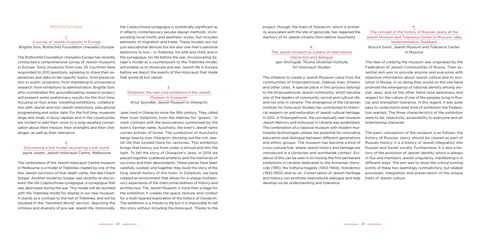project, though, the town of Oświęcim, which is primarily associated with the site of genocide, has regained the memory of its Jewish citizens from before Auschwitz.

#### 4. The Jewish museum as a place of intercultural interaction and dialogue Igor Shchupak, Tkuma Ukrainian Institute for Holocaust Studies

5.

### The concept of the history of Russian Jewry at the Jewish Museum and Tolerance Center in Moscow: idea, implementation, feedback

The initiative to create a Jewish Museum came from the communities of Dnipropetrovsk, Odessa, Kiev, Kharkiv and other cities. A special place in this process belongs to the Dnipropetrovsk Jewish community, which became one of the leaders of community revival and cultural life, and not only in Ukraine. The emergence of the Ukrainian Institute for Holocaust Studies has contributed to historical research on and restoration of Jewish cultural heritage. In 2012, in Dnipropetrovsk, the conceptually new museum Jewish Memory and Holocaust in Ukraine was established. The combination of a classical museum with modern multimedia technologies utilizes the potential for innovative education and dialogue between different generations and ethnic groups. The museum has become a kind of cross-cultural hub, where Jewish history and heritage are introduced in a Ukrainian and worldwide context. Evidence of this can be seen in its hosting the first permanent exhibitions in Ukraine dedicated to the Armenian Genocide (1915), the Volhynia tragedy (1943–1944), Holodomor (1932–1933) and so on. Conservation of Jewish heritage and history can promote intercultural dialogue and help develop social understanding and tolerance. lution in Russia. In so doing they would on the one hand promote the emergence of national identity among secular Jews, and on the other hand raise awareness and respect for the culture of one of the peoples living in Russia, and strengthen tolerance. In this regard, it was quite easy to understand what kind of exhibition the Federation wanted. The three characteristics of the exhibition were to be: objectivity, accessibility to everyone and an entertaining character. The basic conception of the museum is as follows: the history of Russian Jewry should be viewed as part of Russian history; it is a history of Jewish integration into Russian and Soviet society. Furthermore, it is also a history of the evolution of Jewish identity which is always in flux and maintains Jewish singularity, manifesting it in different ways. The aim was to show the critical turning points of these two seemingly contradictory, but related processes: integration and preservation of the unique traits of Jewish culture.

Boruch Gorin, Jewish Museum and Tolerance Center in Moscow

The idea of creating the museum was originated by the Federation of Jewish Communities of Russia. Their essential aim was to provide anyone and everyone with objective information about Jewish culture and its evo-

#### Presentations:

# 1. A survey of Jewish museums in Europe

Brigitte Sion, Rothschild Foundation (Hanadiv) Europe

The Rothschild Foundation (Hanadiv) Europe has recently conducted a comprehensive survey of Jewish museums in Europe. Sixty museums from over 25 countries have responded to 200 questions, agreeing to share their experiences and data on ten specific topics, from preservation to public programs; from marketing to provenance research; from exhibitions to administration. Brigitte Sion, who coordinated this groundbreaking research project. will present some preliminary results for the first time. focusing on four areas: travelling exhibitions, collaboration with Jewish and non-Jewish institutions, educational programming and visitor data. For the first time, museums large and small, in busy capitals and in the countryside, are invited to add their voice to a long-awaited conversation about their mission, their strengths and their challenges, as well as their relevance.

#### 2.

#### Discovering a lost model, recovering a lost world Jayne Josem, Jewish Holocaust Centre, Melbourne

The centerpiece of the Jewish Holocaust Centre museum in Melbourne is a model of Treblinka created by one of the few Jewish survivors of that death camp, the late Chaim Sztajer. Another model by Sztajer was recently re-discovered: the old Częstochowa synagogue, a synagogue that was destroyed during the war. This model will be reunited with the Treblinka model for display in our new museum. It stands as a contrast to the hell of Treblinka, and will be situated in the 'Vanished World' section, depicting the richness and diversity of pre-war Jewish life. Historically,

the Częstochowa synagogue is stylistically significant as it reflects contemporary secular design methods, incorporating local motifs and aesthetic styles, but includes elements of migration and trade. These models are not just educational devices but are also one man's personal testimony to loss – in Treblinka, his wife and child, and in the synagogue, his life before the war. Incorporating Sztajer's model as a counterpoint to the Treblinka model, will enable us to showcase pre-war Jewish life in Europe before we depict the events of the Holocaust that made that world all but vanish.

#### 3. Oshpitzin: the new core exhibition in the Jewish Museum in Oświęcim Artur Szyndler, Jewish Museum in Oświęcim

Jews lived in Oświęcim since the 16th century. They called their town Oshpitzin, from the Hebrew for "guests." In stark contrast with the associations summoned by the town's German name, Auschwitz, the town's Jewish name carries echoes of home. The symbolism of Auschwitz hangs heavily over Oświecim, blocking out the rich Jewish life that existed there for centuries. This exhibition brings that history out from under a shroud and into the light. To tell the story of Oświęcim's Jews, in 2014 we pieced together scattered artefacts and the memories of survivors and their descendants. These pieces have been carefully curated, and together they build the story of the long Jewish history of this town. In Oshpitzin, we have created an environment that allows for a unique multisensory experience of the interconnectedness of history and architecture. The Jewish Museum is more than a stage for the exhibition; it creates the space, texture, and context for a multi-layered exploration of the history of Oświęcim. The exhibition is a tribute to life but it is impossible to tell this story without including the Holocaust. Thanks to the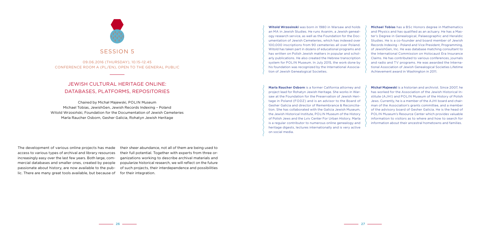**Witold Wrzosinski** was born in 1980 in Warsaw and holds an MA in Jewish Studies. He runs Avanim, a Jewish genealogy research service, as well as the Foundation for the Documentation of Jewish Cemeteries, which has indexed over 100,000 inscriptions from 90 cemeteries all over Poland. Witold has taken part in dozens of educational programs and has written on Polish Jewish matters in popular and scholarly publications. He also created the Hebrew transcription system for POLIN Museum. In July 2015, the work done by his foundation was recognized by the International Association of Jewish Genealogical Societies.

**Marla Raucher Osborn** is a former California attorney and project lead for Rohatyn Jewish Heritage. She works in Warsaw at the Foundation for the Preservation of Jewish Heritage in Poland (FODZ) and is an advisor to the Board of Gesher Galicia and director of Remembrance & Reconciliation. She has collaborated with the Galicia Jewish Museum, the Jewish Historical Institute, POLIN Museum of the History of Polish Jews and the Lviv Center For Urban History. Marla is a regular contributor to numerous online genealogy and heritage digests, lectures internationally and is very active on social media.

**Michael Tobias** has a BSc Honors degree in Mathematics and Physics and has qualified as an actuary. He has a Master's Degree in Genealogical, Palaeographic and Heraldic Studies. He is a co-founder and board member of Jewish Records Indexing – Poland and Vice President, Programming, of JewishGen, Inc. He was database matching consultant to the International Commission on Holocaust Era Insurance Claims. He has contributed to various conferences, journals and radio and TV programs. He was awarded the International Association of Jewish Genealogical Societies Lifetime Achievement award in Washington in 2011.

**Michał Majewski** is a historian and archivist. Since 2007, he has worked for the Association of the Jewish Historical Institute (AJHI) and POLIN Museum of the History of Polish Jews. Currently, he is a member of the AJHI board and chairman of the Association's grants committee, and a member of the advisory board of Gesher Galicia. He is the head of POLIN Museum's Resource Center which provides valuable information to visitors as to where and how to search for information about their ancestral hometowns and families.

The development of various online projects has made access to various types of archival and library resources increasingly easy over the last few years. Both large, commercial databases and smaller ones, created by people passionate about history, are now available to the public. There are many great tools available, but because of

their sheer abundance, not all of them are being used to their full potential. Together with experts from three organizations working to describe archival materials and popularize historical research, we will reflect on the future of such projects, their interdependence and possibilities for their integration.



09.06.2016 (Thursday), 10.15–12.45 Conference room A (PL/EN), open to the general public

# Jewish cultural heritage online: databases, platforms, repositories

Chaired by Michał Majewski, POLIN Museum Michael Tobias, JewishGen, Jewish Records Indexing – Poland Witold Wrzosiński, Foundation for the Documentation of Jewish Cemeteries Marla Raucher Osborn, Gesher Galicia, Rohatyn Jewish Heritage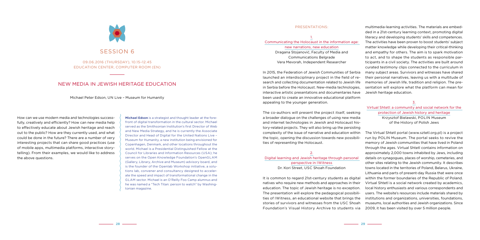#### Presentations:

1. Communicating the Holocaust in the information age: new narrations, new education Dragana Stojanović, Faculty of Media and Communications Belgrade

Vera Mevorah, Independent Researcher

In 2015, the Federation of Jewish Communities of Serbia launched an interdisciplinary project in the field of research and collecting documentation related to Jewish life in Serbia before the Holocaust. New-media technologies, interactive artistic presentations and documentaries have been used to create an innovative educational platform appealing to the younger generation.

The co-authors will present the project itself, seeking a broader dialogue on the challenges of using new media and internet technologies in Jewish and Holocaust history-related projects. They will also bring up the persisting

perspective in IWitness Dr. Kori Street, USC Shoah Foundation

multimedia-learning activities. The materials are embedded in a 21st-century learning context, promoting digital literacy and developing students' skills and competences. The activities have been proven to boost students' subject matter knowledge while developing their critical-thinking and empathy for others. The aim is to spark motivation to act, and to shape the students as responsible participants in a civil society. The activities are built around curated testimony clips connected to the curriculum in many subject areas. Survivors and witnesses have shared their personal narratives, leaving us with a multitude of memories of Jewish life, tradition and religion. The presentation will explore what the platform can mean for Jewish heritage education.

complexity of the issue of narrative and education within the topic, opening the discussion towards new possibilities of representing the Holocaust. 2. Digital learning and Jewish heritage through personal It is common to regard 21st-century students as digital natives who require new methods and approaches in their education. The topic of Jewish heritage is no exception. The presentation will explore the pedagogical possibilities of IWitness, an educational website that brings the stories of survivors and witnesses from the USC Shoah Foundation's Visual History Archive to students via The Virtual Shtetl portal (www.sztetl.org.pl) is a project run by POLIN Museum. The portal seeks to revive the memory of Jewish communities that have lived in Poland through the ages. Virtual Shtetl contains information on approximately 2,000 towns inhabited by Jews, including details on synagogues, places of worship, cemeteries, and other sites relating to the Jewish community. It describes towns located in the territories of Poland, Belarus, Ukraine, Lithuania and parts of present-day Russia that were once within the former boundaries of the Republic of Poland. Virtual Shtetl is a social network created by academics, local history enthusiasts and various correspondents and users. The website's resources include materials shared by institutions and organizations, universities, foundations, museums, local authorities and Jewish organizations. Since 2009, it has been visited by over 5 million people.



#### 3.

### Virtual Shtetl: a community and social network for the protection of Jewish history and heritage Krzysztof Bielawski, POLIN Museum of the History of Polish Jews

How can we use modern media and technologies successfully, creatively and efficiently? How can new media help to effectively educate about Jewish heritage and reach out to the public? How are they currently used, and what could be done in the future? There are a number of very interesting projects that can share good practices (use of mobile apps, multimedia platforms, interactive storytelling). From their examples, we would like to address the above questions.

**Michael Edson** is a strategist and thought leader at the forefront of digital transformation in the cultural sector. Michael served as the Smithsonian Institution's first Director of Web and New Media Strategy, and he is currently the Associate Director and Head of Digital for the United Nations Live – Museum for Humanity, a new institution being envisioned for Copenhagen, Denmark, and other locations throughout the world. Michael is a Presidential Distinguished Fellow at the Council for Libraries and Information Resources (USA); he serves on the Open Knowledge Foundation's OpenGLAM (Gallery, Library, Archive and Museum) advisory board, and is the founder of the Openlab Workshop initiative, a solutions lab, convener and consultancy designed to accelerate the speed and impact of transformational change in the GLAM sector. Michael is an O'Reilly Foo Camp alumnus and he was named a "Tech Titan: person to watch" by Washingtonian magazine.

# Session 6

09.06.2016 (Thursday), 10.15–12.45 Education Center, computer room (EN)

# New media in Jewish heritage education

Michael Peter Edson, UN Live – Museum for Humanity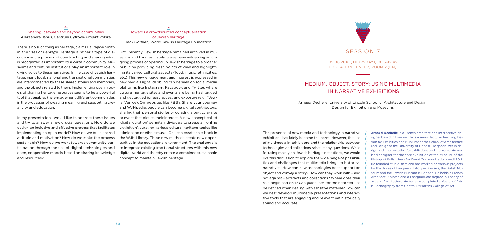The presence of new media and technology in narrative exhibitions has lately become the norm. However, the use of multimedia in exhibitions and the relationship between technologies and collections raises many questions. While focusing mainly on Jewish heritage institutions, we would like this discussion to explore the wide range of possibilities and challenges that multimedia brings to historical narratives. How can new technologies best support an object and convey a story? How can they work with – and not against – artefacts and collections? Where does their role begin and end? Can guidelines for their correct use be defined when dealing with sensitive material? How can we best develop multimedia presentations and interactive tools that are engaging and relevant yet historically sound and accurate?

**Arnaud Dechelle** is a French architect and interpretive designer based in London. He is a senior lecturer teaching Design for Exhibition and Museums at the School of Architecture and Design at the University of Lincoln. He specializes in design and interpretation for exhibitions and museums. He was lead designer for the core exhibition of the Museum of the History of Polish Jews for Event Communications until 2011. He founded studioDiem and has worked on various projects for the House of European History in Brussels, the British Museum and the Jewish Museum in London. He holds a French Architect Diploma and a Postgraduate degree in Theory of Art and Architecture. He has also completed a Master of Arts in Scenography from Central St Martins College of Art.

#### 4. Sharing: between and beyond communities Aleksandra Janus, Centrum Cyfrowe Projekt:Polska

There is no such thing as heritage, claims Laurajane Smith in *The Uses of Heritage*. Heritage is rather a type of discourse and a process of constructing and sharing what is recognized as important by a certain community. Museums and cultural institutions play an important role in giving voice to these narratives. In the case of Jewish heritage, many local, national and transnational communities are interconnected by these shared stories and memories, and the objects related to them. Implementing open models of sharing heritage resources seems to be a powerful tool that enables the engagement different communities in the processes of creating meaning and supporting creativity and education.

In my presentation I would like to address these issues and try to answer a few crucial questions: How do we design an inclusive and effective process that facilitates implementing an open model? How do we build shared attitude and motivation? How do we make the process sustainable? How do we work towards community participation through the use of digital technologies and open, cooperative models based on sharing knowledge and resources?

5. Towards a crowdsourced conceptualization of Jewish heritage Jack Gottlieb, World Jewish Heritage Foundation

Until recently, Jewish heritage remained archived in museums and libraries. Lately, we've been witnessing an ongoing process of opening up Jewish heritage to a broader public by providing fresh points of view and highlighting its varied cultural aspects (food, music, ethnicities, etc.) This new engagement and interest is expressed in new media. Digital dabbling can be seen on social media platforms like Instagram, Facebook and Twitter, where cultural heritage sites and events are being hashtagged and geotagged for easy access and exposure (e.g. #JewishVenice). On websites like PBS's Share your Journey and WJHpedia, people can become digital contributors, sharing their personal stories or curating a particular site or event that piques their interest. A new concept called 'digital curation' permits individuals to create an 'online exhibition', curating various cultural heritage topics like ethnic food or ethnic music. One can create an e-book in the WJH Library. These new methods create new opportunities in the educational environment. The challenge is to integrate existing traditional structures with this new digital world and thereby create a combined sustainable concept to maintain Jewish heritage.



# SESSION 7

09.06.2016 (Thursday), 10.15–12.45 Education Center, room 2 (EN)

# Medium, object, story: using multimedia in narrative exhibitions

Arnaud Dechelle, University of Lincoln School of Architecture and Design, Design for Exhibition and Museums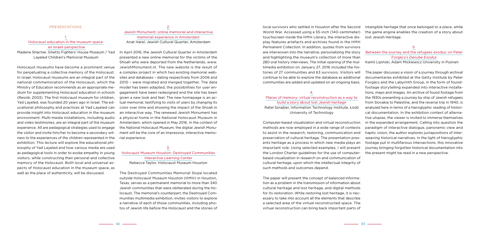#### 4.

### Places of memory: virtual reconstruction as a way to build a story about lost Jewish heritage Rafał Szrajber, Information Technology Institute, Łódź University of Technology

local survivors who settled in Houston after the Second World War. Accessed using a 55-inch (140-centimeter) touchscreen inside the HMH Library, the interactive display features artefacts and archives found in the HMH Permanent Collection. In addition, quotes from survivors are interwoven into the narrative, personalizing the story and highlighting the museum's collection of more than 280 oral history interviews. The initial opening of the multimedia exhibition on January 27, 2016 included the histories of 27 communities and 63 survivors. Visitors will continue to be able to explore the database as additional communities are added and updated on an ongoing basis. intangible heritage that once belonged to a place, while the game engine enables the creation of a story about lost Jewish Heritage. 5. Between the journey and the refugees exodus: on Peter Forgács's *Danube Exodus* Kamil Lipiński, Adam Mickiewicz University in Poznań The paper discusses a vision of a journey through archival documentaries exhibited at the Getty Institute by Peter

Computer-based visualization and virtual reconstruction methods are now employed in a wide range of contexts to assist in the research, restoring, communication and preservation of cultural heritage. The presentation presents heritage as a process in which new media plays an important role. Using selected examples, I will present the London Charter guidelines for the use of computerbased visualization in research on and communication of cultural heritage, upon which the intellectual integrity of such methods and outcomes depend.

The paper will present the concept of balanced information as a problem in the transmission of information about cultural heritage and lost heritage, and digital methods for its restoration. While restoring lost heritage, it is necessary to take into account all the elements that describe a selected area of the virtual reconstructed space. The virtual reconstruction can bring back important parts of

Forgács and the Labyrinth Group, in the form of foundfootage storytelling expanded into interactive installations, maps and images. An archive of found footage from the 1930s presenting a journey by ship of Jewish refugees from Slovakia to Palestine, and the reverse trip in 1940, is analyzed here in terms of a hieroglyphic reading of historical documentation. In the exhibition context of alternative utopias, the viewer is invited to immerse themselves in the expanded arrangement. Calling into question the paradigm of interactive dialogue, panoramic view and haptic vision, the author explores juxtapositions of interweaving historical narratives. In the light of hieroglyphic footage put in multifarious intersections, this innovative journey bringing forgotten historical documentation into the present might be read in a new perspective.

#### Presentations:

### 1. Holocaust education in the museum space: an Israeli perspective

Madene Shachar, Ghetto Fighters' House Museum / Yad Layeled Children's Memorial Museum

Holocaust museums have become a prominent venue for perpetuating a collective memory of the Holocaust. In Israel, Holocaust museums are an integral part of the national commemoration of the Holocaust, which the Ministry of Education recommends as an appropriate medium for supplementing Holocaust education in schools (Resnik, 2003). The first Holocaust museum for children, Yad Layeled, was founded 20 years ago in Israel. The educational philosophy and practices at Yad Layeled can provide insight into Holocaust education in the museum environment. Multi-media installations, including audio and video testimonies, are an integral part of the museum experience. All are pedagogical strategies used to engage the visitor and invite him/her to become a secondary witness to the experiences of the children represented in the exhibition. This lecture will explore the educational philosophy of Yad Layeled and how various media are used as pedagogical tools in order to evoke empathy in young visitors, while constructing their personal and collective memory of the Holocaust. Both local and universal aspects of Holocaust education in the museum space, as well as the place of authenticity, will be discussed.

### 2. Jewish Monument: online memorial and interactive memorial experience in Amsterdam Anat Harel, Jewish Cultural Quarter, Amsterdam

In April 2016, the Jewish Cultural Quarter in Amsterdam presented a new online memorial for the victims of the Shoah who were deported from the Netherlands, www. JewishMonument.nl. The new website is the result of a complex project in which two existing memorial websites and databases – dating respectively from 2006 and 2010 – were migrated and merged together. The data model has been adapted, the possibilities for user engagement have been redesigned and the site has been given a new look and feel. The new homepage is an actual memorial, testifying to visits of users by changing its color over time and showing the impact of the Shoah in an interactive way. The renewed Jewish Monument has a physical home in the National Holocaust Museum in Amsterdam, which opened in May 2016. In the context of the National Holocaust Museum, the digital Jewish Monument will be the core of an impressive, interactive memorial experience.

#### 3. Holocaust Museum Houston: Destroyed Communities Interactive Learning Center Rebecca Taylor, Holocaust Museum Houston

The Destroyed Communities Memorial Slope located outside Holocaust Museum Houston (HMH) in Houston, Texas, serves as a permanent memorial to more than 340 Jewish communities that were obliterated during the Holocaust. The memorial's counterpart, the Destroyed Communities multimedia exhibition, invites visitors to explore a narrative of each of those communities, including photos of Jewish life before the Holocaust and the stories of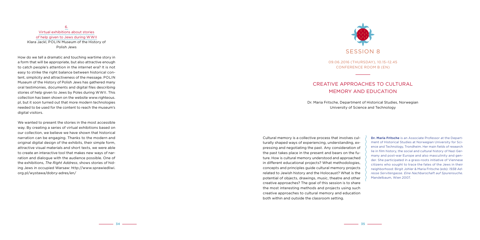Cultural memory is a collective process that involves culturally shaped ways of experiencing, understanding, expressing and negotiating the past. Any consideration of the past takes place in the present and bears on the future. How is cultural memory understood and approached in different educational projects? What methodologies, concepts and principles guide cultural memory projects related to Jewish history and the Holocaust? What is the potential of objects, drawings, music, theatre and other creative approaches? The goal of this session is to share the most interesting methods and projects using such creative approaches to cultural memory and education both within and outside the classroom setting.

How do we tell a dramatic and touching wartime story in a form that will be appropriate, but also attractive enough to catch people's attention in the internet era? It is not easy to strike the right balance between historical content, simplicity and attractiveness of the message. POLIN Museum of the History of Polish Jews has gathered many oral testimonies, documents and digital files describing stories of help given to Jews by Poles during WWII. This collection has been shown on the website www.righteous. pl, but it soon turned out that more modern technologies needed to be used for the content to reach the museum's digital visitors.

> **Dr. Maria Fritsche** is an Associate Professor at the Department of Historical Studies at Norwegian University for Science and Technology, Trondheim. Her main fields of research lie in film history, the social and cultural history of Nazi Germany and post-war Europe and also masculinity and gender. She participated in a grass-roots initiative of Viennese citizens who sought to trace the fates of the Jews in their neighborhood: Birgit Johler & Maria Fritsche (eds): *1938 Adresse Servitengasse. Eine Nachbarschaft auf Spurensuche*. Mandelbaum, Wien 2007.

6. Virtual exhibitions about stories of help given to Jews during WWII Klara Jackl, POLIN Museum of the History of Polish Jews

We wanted to present the stories in the most accessible way. By creating a series of virtual exhibitions based on our collection, we believe we have shown that historical narration can be engaging. Thanks to the modern and original digital design of the exhibits, their simple form, attractive visual materials and short texts, we were able to create an interactive tool that makes new ways of narration and dialogue with the audience possible. One of the exhibitions, *The Right Address*, shows stories of hiding Jews in occupied Warsaw: http://www.sprawiedliwi. org.pl/wystawa/dobry-adres/en/



09.06.2016 (Thursday), 10.15–12.45 Conference room B (EN)

# Creative approaches to cultural memory and education

Dr. Maria Fritsche, Department of Historical Studies, Norwegian University of Science and Technology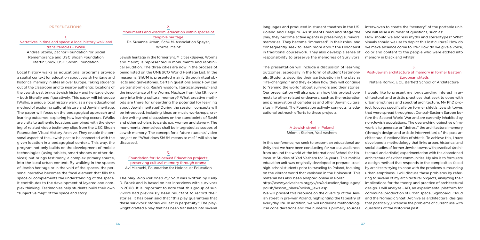The presentation will include a discussion of learning outcomes, especially in the form of student testimonials. Students describe their participation in the play as "life-changing," and they explain how they will continue to "remind the world" about survivors and their stories. Our presentation will also explain how this project con-

# A Jewish street in Poland

languages and produced in student theatres in the US, Poland and Belgium. As students read and stage the play, they become active agents in preserving survivors' memories. They become "immersed" in their roles, and consequently seek to learn more about the Holocaust in traditional coursework. They also develop a sense of responsibility to preserve the memories of Survivors. We will raise a number of questions, such as: How should we address myths and stereotypes? What visuals should we use to depict this lost culture? How do we make absence come to life? How do we give a voice, color and content to the people who were etched into memory in black and white?

interwoven to create the "scenery" of the portable unit.

#### 5.

### Post-Jewish architecture of memory in former Eastern European shtetls

nects to other related endeavors, such as the restoration and preservation of cemeteries and other Jewish cultural sites in Poland. The Foundation actively connects its educational outreach efforts to these projects. 4. Shlomit Steiner, Yad Vashem In this conference, we seek to present an educational activity that we have been conducting for various audiences from around the world at the International School for Holocaust Studies of Yad Vashem for 14 years. This mobile education unit was originally developed to prepare Israeli high-school students prior to traveling to Poland, focusing on the vibrant world that vanished in the Holocaust. This material has also been adapted online in Polish: http://www.yadvashem.org/yv/en/education/languages/ polish/lesson\_plans/polish\_jews.asp We will present this resource on the diversity of the Jewish street in pre-war Poland, highlighting the tapestry of everyday life. In addition, we will underline methodological considerations and the numerous primary sources I would like to present my longstanding interest in architectural and artistic practices that seek to cope with urban emptiness and spectral architecture. My PhD project focuses specifically on former shtetls, Jewish towns that were spread throughout Central-Eastern Europe before the Second World War and are currently inhabited by non-Jewish populations. The overarching objective of my work is to generate or "defrost" the architectural memory (through design and artistic intervention) of the past architectural functionalities of shtetls. To achieve this, I have developed a methodology that links urban, historical and social studies of former Jewish towns with practical (architectural and artistic) experimentation with the abandoned architecture of extinct communities. My aim is to formulate a design method that responds to the complexities faced by architects trying to cope with the problems surrounding urban emptiness. I will discuss these problems by referring to several of my architectural projects, analyzing their implications for the theory and practice of architectural design. I will analyze JAD, an experimental platform for communal production of urban space, Signboard, Cloud and the Nomadic Shtetl Archive as architectural designs that poetically juxtapose the problems of current use with questions of the historical past.

Natalia Romik, UCL Bartlett School of Architecture

#### Presentations:

### 1. Narratives in time and space: a local history walk and transliteracies – IWalk Andrea Szonyi, Zachor Foundation for Social Remembrance and USC Shoah Foundation

Martin Smok, USC Shoah Foundation

Local history walks as educational programs provide a spatial context for education about Jewish heritage and historical memory in sites all over Europe. Taking students out of the classroom and to nearby authentic locations of the Jewish past brings Jewish history and heritage closer – both literally and figuratively. This paper will introduce IWalks, a unique local history walk, as a new educational method of exploring cultural history and Jewish heritage. The paper will focus on the pedagogical approach and learning outcomes, exploring how learning occurs. IWalks are visits to authentic locations combined with the viewing of related video testimony clips from the USC Shoah Foundation Visual History Archive. They enable the personal aspect of the Jewish past to be connected with the given location in a pedagogical context. This way, the program not only builds on the development of mobile technologies (using tablets, smartphones or other devices) but brings testimony, a complex primary source, into the local urban context. By walking in the spaces of Jewish heritage or in the void of the spaces, the personal narrative becomes the focal element that fills the space or complements the understanding of the space. It contributes to the development of layered and complex thinking. Testimonies help students build their own "subjective map" of the space and story.

### 2. Monuments and wisdom: education within spaces of tangible heritage Dr. Susanne Urban, SchUM-Association Speyer, Worms, Mainz

Jewish heritage in the former ShUM cities (Speyer, Worms and Mainz) is represented in monuments and rabbinical erudition. The three cities are now in the process of being listed on the UNESCO World Heritage List. In the museums, ShUM is presented mainly through ritual objects and gravestones. Certain questions arise: How can we transform e.g. Rashi's wisdom, liturgical *piyyutim* and the importance of the Worms Machzor from the 13th century into living cultural memory? What creative methods are there for unearthing the potential for learning about Jewish heritage? During the session, concepts will be introduced, including ideas on music workshops, creative writing and discussions on the standpoints of Rashi and other scholars towards e.g. women and slavery. The monuments themselves shall be integrated as scopes of Jewish memory. The concept for a future students' video project on "What does ShUM means to me?" will also be discussed.

3.

Foundation for Holocaust Education projects: preserving cultural memory through drama Avi Mizrachi, Foundation for Holocaust Education

The play *Who Returned My Soul* was written by Kelly D. Brock and is based on her interviews with survivors in 2008. It is important to note that this group of survivors had previously been reluctant to record their stories. It has been said that "this play guarantees that these survivors' stories will last in perpetuity." The playwright crafted a play that has been translated into several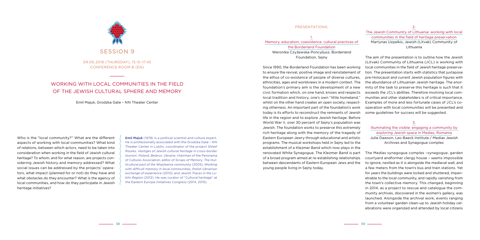#### Presentations:

1. Memory, education, coexistence: cultural practices of the Borderland Foundation Weronika Czyżewska-Poncyljusz, Borderland Foundation, Sejny

Since 1990, the Borderland Foundation has been working to ensure the revival, positive image and reinstatement of the ethos of co-existence of people of diverse cultures, ethnicities, ages and worldviews in a modern context. The foundation's primary aim is the development of a new civic formation which, on one hand, knows and respects local tradition and history, one's own "little homeland," whilst on the other hand creates an open society, respecting otherness. An important part of the foundation's work today is its efforts to reconstruct the remnants of Jewish life in the region and to explore Jewish heritage. Before World War II, over 30 percent of Sejny's population was Jewish. The foundation works to preserve this extremely rich heritage along with the memory of the tragedy of Eastern European Jewry through educational and artistic programs. The musical workshops held in Sejny led to the establishment of a Klezmer Band which now plays in the renovated White Synagogue. The Klezmer Band is part of a broad program aimed at re-establishing relationships between descendants of Eastern European Jews and the young people living in Sejny today.

SESSION 9

2.

### The Jewish Community of Lithuania: working with local communities in the field of heritage preservation Martynas Uzpelkis, Jewish (Litvak) Community of Lithuania

The aim of the presentation is to outline how the Jewish (Litvak) Community of Lithuania (JCL) is working with local communities in the field of Jewish heritage preservation. The presentation starts with statistics that juxtapose pre-Holocaust and current Jewish population figures with the abundance of Lithuanian Jewish heritage. The enormity of the task to preserve this heritage is such that it exceeds the JCL's abilities. Therefore involving local communities and other stakeholders is of critical importance. Examples of more and less fortunate cases of JCL's cooperation with local communities will be presented and some guidelines for success will be suggested.

**Emil Majuk** (1978) is a political scientist and culture expert. He is professionally associated with the Grodzka Gate – NN Theater Center in Lublin, coordinator of the project *Shtetl Routes. Vestiges of Jewish cultural heritage in cross-border tourism. Poland, Belarus, Ukraine*, chairman of the Panorama of Cultures Association, editor of *Scraps of Memory. The multicultural past of the Wojsławice community* (2005), *Working with difficult memory in local communities*, *Polish-Ukrainian exchange of experience* (2010), and *Jewish Traces in the Lublin Region* (2012). He was curator of "Cultural heritage" at the Eastern Europe Initiatives Congress (2014, 2015).

3.

### Illuminating the visible: engaging a community by exploring Jewish space in Medias, Romania Julie Dawson, Leo Baeck Institute / Medias Jewish Archives and Synagogue complex

The Medias synagogue complex –synagogue, garden courtyard andformer clergy house – seems impossible to ignore, nestled as it is alongside the medieval wall, and a few meters from the town's bus and train stations. Yet for years the buildings were locked and shuttered, impenetrable to the local community, and rapidly vanishing from the town's collective memory. This changed, beginning in 2014, as a project to rescue and catalogue the community archives, discovered in the women's gallery, was launched. Alongside the archival work, events ranging from a volunteer garden clean-up to Jewish holiday celebrations were organized and attended by local citizens

Who is the "local community?" What are the different aspects of working with local communities? What kind of relations, between which actors, need to be taken into consideration when working in the field of Jewish cultural heritage? To whom, and for what reason, are projects considering Jewish history and memory addressed? What social issues can be addressed by the projects' operators, what impact (planned for or not) do they have and what obstacles do they encounter? What is the agency of local communities, and how do they participate in Jewish heritage initiatives?

09.06.2016 (Thursday), 15.15–17.45 Conference room B (EN)

# Working with local communities in the field of the Jewish cultural sphere and memory

Emil Majuk, Grodzka Gate – NN Theater Center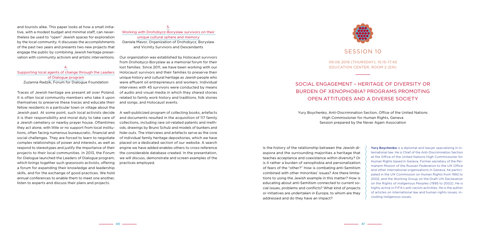Is the history of the relationship between the Jewish diaspora and the surrounding majorities a heritage that teaches acceptance and coexistence within diversity? Or is it rather a burden of xenophobia and personalization of fears of the "other?" How is combating anti-Semitism combined with other minorities' issues? Are there limitations to using the Jewish example in this matter? How is educating about anti-Semitism connected to current social issues, problems and conflicts? What kind of projects or initiatives are undertaken in Europe, to whom are they addressed and do they have an impact?

**Yury Boychenko** is a diplomat and lawyer specializing in international law. He is Chief of the Anti-Discrimination Section at the Office of the United Nations High Commissioner for Human Rights based in Geneva. Former secretary of the Permanent Mission of the Russian Federation to the UN Office and other international organizations in Geneva, he participated in the UN Commission on Human Rights from 1992 to 2002, and the Working Group on the Draft UN Declaration on the Rights of Indigenous Peoples (1995 to 2002). He is highly active in FIFA's anti-racism activities. He is the author of articles on international law and human rights issues, including indigenous issues.

and tourists alike. This paper looks at how a small initiative, with a modest budget and minimal staff, can nevertheless be used to "open" Jewish spaces for exploration by the local community. It discusses the accomplishments of the past two years and presents two new projects that engage the public by combining Jewish heritage preservation with community activism and artistic interventions.

#### 4. Supporting local agents of change through the Leaders of Dialogue program Zuzanna Radzik, Forum for Dialogue Foundation

Traces of Jewish heritage are present all over Poland. It is often local community members who take it upon themselves to preserve these traces and educate their fellow residents in a particular town or village about the Jewish past. At some point, such local activists decide it is their responsibility and moral duty to take care of a Jewish cemetery or nearby prayer house. Oftentimes they act alone, with little or no support from local institutions, often facing numerous bureaucratic, financial and social challenges. They are forced to learn to negotiate complex relationships of power and interests, as well as respond to stereotypes and justify the importance of their projects to their local communities. In 2013, the Forum for Dialogue launched the Leaders of Dialogue program, which brings together such grassroots activists, offering a forum for expanding their knowledge and leadership skills, and for the exchange of good practices. We hold annual conferences to enable them to meet one another, listen to experts and discuss their plans and projects.

### 5. Working with Drohobycz-Boryslaw survivors on their unique cultural sphere and memory Daniela Mavor, Organization of Drohobycz, Boryslaw and Vicinity Survivors and Descendants

Our organization was established by Holocaust survivors from Drohobycz-Boryslaw as a memorial forum for their lost families. Since 2011, we have been working with our Holocaust survivors and their families to preserve their unique history and cultural heritage as Jewish people who were affluent oil entrepreneurs and workers. Individual interviews with 45 survivors were conducted by means of audio and visual media in which they shared stories related to family work history and traditions, folk stories and songs, and Holocaust events.

A well-publicized program of collecting books, artefacts and documents resulted in the acquisition of 117 family collections, including rare oil-related patents and methods, drawings by Bruno Schulz and models of bunkers and hide-outs. The interviews and artefacts serve as the core of individual family heritage depositories, which we have placed on a dedicated section of our website. A search engine we have added enables others to cross-reference the considerable database created. In the presentation, we will discuss, demonstrate and screen examples of the practices employed.



# SESSION 10

09.06.2016 (Thursday), 15.15–17.45 Education Center, room 2 (EN)

# Social engagement – heritage of diversity or burden of xenophobia? Programs promoting open attitudes and a diverse society

Yury Boychenko, Anti-Discrimination Section, Office of the United Nations High Commissioner for Human Rights, Geneva Session prepared by the Never Again Association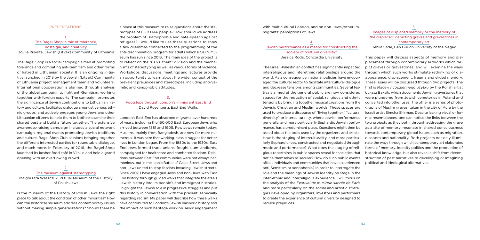with multicultural London, and on non-Jews'/other immigrants' perceptions of Jews.

The Israeli-Palestinian conflict has significantly impacted interreligious and interethnic relationships around the world. As a consequence, national policies have encouraged the cultural sector to facilitate intercultural dialogue and decrease tensions among communities. Several festivals aimed at the general public are now considered spaces for the reduction of social, religious and ethnic tensions by bringing together musical creations from the Jewish, Christian and Muslim worlds. These spaces are used to produce a discourse of "living together," "cultural diversity" or interculturality, where Jewish performance generally, and more particularly Sephardic Jewish performance, has a predominant place. Questions might then be asked about the tools used by the organizers and artists. How is the staging of interculturality, and more particularly Sephardicness, constructed and negotiated through music and performance? What does the staging of religious repertoires in public spaces reveal for societies that define themselves as secular? How do such public events affect individuals and communities that have experienced anti-Semitism or xenophobia? In order to interrogate the role and the meanings of Jewish identity on stage in the inter-ethnic and interreligious experience, I will focus on the analysis of the *Festival de musique sacrée de Paris* and more particularly on the social and artistic strategies developed by organizers, investors and performers to create the experience of cultural diversity designed to reduce prejudices.

### 4. Jewish performance as a means for constructing the society of "cultural diversity" Jessica Roda, Concordia University

#### Images of displaced memory or the memory of the displaced: depicting graves and gravestones in contemporary art

Tehila Sade, Ben Gurion University of the Negev

This paper will discuss aspects of memory and displacement through contemporary artworks which depict graves or gravestones, and will examine the ways through which such works stimulate rethinking of disappearance, displacement, trauma and elided memory. These issues will be discussed through two projects. The first is *Macewy codziennego użytku* by the Polish artist Łukasz Baksik, which documents Jewish gravestones that were plundered from Jewish cemeteries in Poland and converted into other uses. The other is a series of photographs of Muslim graves, taken in the city of Acre by the Israeli artist Simcha Shirman. Despite lacking visual or formal resemblances, one can notice the links between the two projects as they both, through addressing the grave as a site of memory, resonate in shared consciousness towards contemporary global issues such as migration, diaspora and nationality. Both projects not only illuminate the ways through which contemporary art elaborates forms of memory, identity politics and the production of historical knowledge, but also reveal a shift from deconstruction of past narratives to developing or imagining political and ideological alternatives.

#### Presentations:

### 1. The Bagel Shop: a mix of tolerance, nostalgia, and creativity

Dovile Rukaite, Jewish (Litvak) Community of Lithuania

The Bagel Shop is a social campaign aimed at promoting tolerance and combating anti-Semitism and other forms of hatred in Lithuanian society. It is an ongoing initiative launched in 2013 by the Jewish (Litvak) Community of Lithuania project management team and volunteers. International cooperation is planned through analysis of the global campaign to fight anti-Semitism, working together with foreign experts. The campaign promotes the significance of Jewish contributions to Lithuanian history and culture, facilitates dialogue amongst various ethnic groups, and actively engages young Jews and other Lithuanian citizens to help them to both re-examine their shared past and build a future together. The extensive awareness-raising campaign includes a social network campaign, regional events promoting Jewish traditions and culture, Bagel Shop Club sessions bringing together the different interested parties for roundtable dialogue, and much more. In February of 2016, the Bagel Shop launched its kosher food café in Vilnius and held a grand opening with an overflowing crowd.

2. The museum against stereotyping Malgorzata Waszczuk, POLIN Museum of the History of Polish Jews

Is the Museum of the History of Polish Jews the right place to talk about the condition of other minorities? How can the historical museum address contemporary issues without making simple generalizations? Should there be

a place at this museum to raise questions about the stereotypes of LGBTQA people? How should we address the problem of Islamophobia and hate-speech against refugees? I would like to use these questions to show a few dilemmas connected to the programming of the anti-discrimination program for adults which POLIN Museum has run since 2013. The main idea of the project is to reflect on the "us vs. them" division and the mechanisms of stereotyping as well as various forms of violence. Workshops, discussions, meetings and lectures provide an opportunity to learn about the wider context of the prevalent prejudices and stereotypes, including anti-Semitic and xenophobic attitudes.

### 3. Footsteps through London's immigrant East End David Rosenberg, East End Walks

London's East End has absorbed migrants over hundreds of years, including the 150,000 East European Jews who arrived between 1881 and 1905. Few Jews remain today; Muslims, mainly from Bangladesh, are now far more numerous. It was here that working-class struggles for better lives in London began. From the 1880s to the 1930s, East End Jews formed trade unions, fought slum landlords, campaigned for healthcare and combated fascism. Relations between East End communities were not always harmonious, but in the iconic Battle of Cable Street, Jews and non-Jews united to stop fascists invading Jewish streets. Since 2007, I have engaged Jews and non-Jews with East End history through guided walks that integrate the area's Jewish history into its people's and immigrant histories. I highlight the Jewish role in progressive struggles and put this history in conversation with the present, especially regarding racism. My paper will describe how these walks have contributed to London's Jewish diasporic history and the impact of such heritage work on Jews' engagement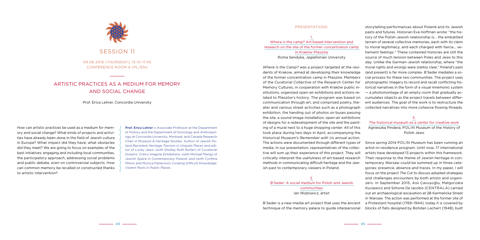exhibition, the handing out of photos on buses passing the site, a sound-image installation, open-air exhibitions of designs for a redevelopment of the site and the painting of a mural next to a huge shopping center. All of this took place during two days in April, accompanying the Historical Museum's *Remember with Us* annual action.

Presentations: 1. Where is the camp? Art-based intervention and research on the site of the former concentration camp in Kraków-Płaszów Roma Sendyka, Jagiellonian University *Where is the Camp?* was a project targeted at the residents of Krakow, aimed at developing their knowledge of the former concentration camp in Płaszów. Members of the Curatorial Collective of the Research Center for Memory Cultures, in cooperation with Kraków public institutions, organized open-air exhibitions and actions related to Płaszów's history. The program was based on communication through art, and comprised poetry, theater and various street activities such as a photograph storytelling performances about Poland and its Jewish pasts and futures. Historian Eva Hoffman wrote: "the history of the Polish-Jewish relationship is… the embattled terrain of several collective memories, each with its claim to moral legitimacy, and each charged with fierce… vehement feelings." These contested histories are still the source of much tension between Poles and Jews to this day. Unlike the German-Jewish relationship, where "the moral rights and wrongs were starkly clear," Poland's past (and present) is far more complex. B'Seder mediates a social process for these two communities. The project uses photographic imagery to record and recall conflicting historical narratives in the form of a visual mnemonic system — a photomontage of an empty room that gradually accumulates objects as the project travels between different audiences. The goal of the work is to restructure the collected narratives into more cohesive flowing threads.

communities Ian Wojtowicz, artist

The actions were documented through different types of media. In our presentation, representatives of the collective will sum up their experience of this project. They will critically interpret the usefulness of art-based research methods in communicating difficult heritage and the Jewish past to contemporary viewers in Poland. 2. B'Seder: A social medium for Polish and Jewish B'Seder is a new-media art project that uses the ancient technique of the memory palace to guide interpersonal Since spring 2014 POLIN Museum has been running an artist-in-residence program. Until now, 17 international artists have developed 13 projects within this framework. Their response to the theme of Jewish heritage in contemporary Warsaw could be summed up in three categories: presence, absence and traces. In my paper, I will focus on the project *The Cut* to discuss adopted strategies and challenges encounters by both artists and organizers. In September 2015, Aslı Çavuşoğlu, Małgorzata Kuciewicz and Simone De Iacobis (CENTRALA) carried out an archaeological excavation at 2B Karmelicka Street in Warsaw. The action was performed at the former site of a Protestant hospital (1769–1944); today it is covered by blocks of flats designed by Bohdan Lachert (1948), built



#### 3.

#### The historical museum as a center for creative work Agnieszka Pindera, POLIN Museum of the History of Polish Jews

How can artistic practices be used as a medium for memory and social change? What kinds of projects and activities have already been done in the field of Jewish culture in Europe? What impact did they have; what obstacles did they meet? We are going to focus on examples of the best initiatives: engaging and including local communities, the participatory approach, addressing social problems and public debate, even on controversial subjects. How can common memory be recalled or constructed thanks to artistic intervention?

**Prof. Erica Lehrer** is Associate Professor at the Department of History and the Department of Sociology and Anthropology at Concordia University, Montreal, and Canada Research Chair in Museum & Heritage Studies. Author of J*ewish Poland Revisited: Heritage Tourism in Unquiet Places* and editor of *Lucky Jews*; (with Shelley Ruth Butler) of *Curatorial Dreams: Critics Imagine Exhibitions*; (with Michael Meng) of *Jewish Space in Contemporary Poland*; and (with Cynthia Milton and Monica Patterson) *Curating Difficult Knowledge: Violent Pasts in Public Places*.

Session 11

09.06.2016 (Thursday), 15.15–17.45 Conference room A (PL/EN)

# Artistic practices as a medium for memory and social change

Prof. Erica Lehrer, Concordia University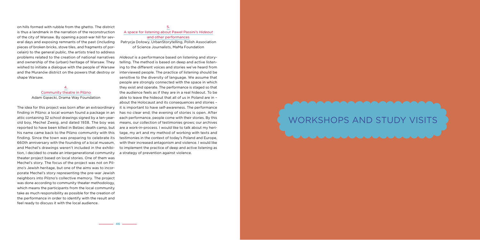on hills formed with rubble from the ghetto. The district is thus a landmark in the narration of the reconstruction of the city of Warsaw. By opening a post-war hill for several days and exposing remnants of the past (including pieces of broken bricks, stove tiles, and fragments of porcelain) to the general public, the artists tried to address problems related to the creation of national narratives and ownership of the (urban) heritage of Warsaw. They wished to initiate a dialogue with the people of Warsaw and the Muranów district on the powers that destroy or shape Warsaw.

#### 4. Community theatre in Pilzno Adam Gąsecki, Drama Way Foundation

The idea for this project was born after an extraordinary finding in Pilzno: a local woman found a package in an attic containing 32 school drawings signed by a ten-yearold boy, Mechel Zweig, and dated 1938. The boy was reported to have been killed in Belzec death camp, but his name came back to the Pilzno community with this finding. Since the town was preparing to celebrate its 660th anniversary with the founding of a local museum, and Mechel's drawings weren't included in the exhibition, I decided to create an intergenerational community theater project based on local stories. One of them was Mechel's story. The focus of the project was not on Pilzno's Jewish heritage, but one of the aims was to incorporate Mechel's story representing the pre-war Jewish neighbors into Pilzno's collective memory. The project was done according to community theater methodology, which means the participants from the local community take as much responsibility as possible for the creation of the performance in order to identify with the result and feel ready to discuss it with the local audience.

### 5. A space for listening about Paweł Passini's *Hideout* and other performances Patrycja Dołowy, UrbanStorytelling, Polish Association of Science Journalists, MaMa Foundation

*Hideout* is a performance based on listening and storytelling. The method is based on deep and active listening to the different voices and stories we've heard from interviewed people. The practice of listening should be sensitive to the diversity of language. We assume that people are strongly connected with the space in which they exist and operate. The performance is staged so that the audience feels as if they are in a real hideout. To be able to leave the hideout that all of us in Poland are in – about the Holocaust and its consequences and stories – it is important to have self-awareness. The performance has no clear end; the evening of stories is open. After each performance, people come with their stories. By this means, our collection of testimonies grows; our archives are a work-in-process. I would like to talk about my heritage, my art and my method of working with texts and testimonies in the context of today's Poland and Europe, with their increased antagonism and violence. I would like to implement the practice of deep and active listening as a strategy of prevention against violence.

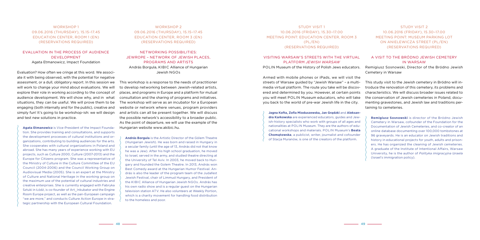Study visit 1 10.06.2016 (Friday), 15.30–17.00 Meeting point: Education Center, room 3 (PL/EN) (reservations required)

## Visiting Warsaw's streets with the virtual platform *Jewish Warsaw*

POLIN Museum of the History of Polish Jews educators.

Armed with mobile phones or iPads, we will visit the streets of Warsaw guided by "Jewish Warsaw" – a multimedia virtual platform. The route you take will be discovered and determined by you. However, at certain points you will meet POLIN Museum educators, who will take you back to the world of pre-war Jewish life in the city.

**Jagna Kofta, Zofia Mioduszewska, Jan Grądzki** and **Aleksandra Karkowska** are experienced educators, guides and Jewish-history specialists who work with groups of all ages and nationalities at POLIN Museum. They are the authors of educational workshops and materials. POLIN Museum's **Beata Chomątowska**, a publicist, writer, journalist and cofounder of Stacja Muranów, is one of the creators of the platform.

### Study visit 2 10.06.2016 (Friday), 15.30–17.00 Meeting point: museum parking lot on Anielewicza Street (PL/EN) (reservations required)

WORKSHOP<sub>1</sub> 09.06.2016 (Thursday), 15.15–17.45 Education Center, room 1 (EN) (reservations required)

### A visit to the Bródno Jewish cemetery in Warsaw

Remigiusz Sosnowski, Director of the Bródno Jewish Cemetery in Warsaw

This study visit to the Jewish cemetery in Bródno will introduce the renovation of this cemetery, its problems and characteristics. We will discuss broader issues related to the conservation of Jewish cemeteries in Poland, documenting gravestones, and Jewish law and traditions pertaining to cemeteries.

**Remigiusz Sosnowski** is director of the Bródno Jewish Cemetery in Warsaw, cofounder of the Foundation for the Documentation of Jewish Cemeteries, and co-creator of an online database documenting over 100,000 tombstones at 96 graveyards. He is an educator on Jewish traditions and history in educational projects for youth, adults and prisoners. He has organized the cleaning of Jewish cemeteries. A graduate of the Institute of Intentional Affairs, Warsaw University, he is the author of *Polityka imigracyjna Izraela* (Israel's immigration policy).

WORKSHOP 2 09.06.2016 (Thursday), 15.15–17.45 Education Center, ROOM 3 (EN) (reservations required)

#### Evaluation in the process of audience development Agata Etmanowicz, Impact Foundation

Evaluation? How often we cringe at this word. We associate it with being observed, with the potential for negative assessment, or a dull, obligatory report. In this session we will work to change your mind about evaluations. We will explore their role in working according to the concept of audience development. We will show why, and in what situations, they can be useful. We will prove them to be engaging (both internally and for the public), creative and simply fun! It's going to be workshop-ish: we will design and test new solutions in practice.

**Agata Etmanowicz** is Vice-President of the Impact Foundation. She provides training and consultations, and supports the development processes of cultural institutions and organizations, contributing to building audiences for the arts. She cooperates with cultural organizations in Poland and abroad. She has many years of experience working with EU projects, such as Culture 2000, Culture (2007-2013) and the Europe for Citizens program. She was a representative of the Ministry of Culture in the Culture Committee of the EU Council (2004-2006) and the Council Working Group on Audiovisual Media (2005). She is an expert at the Ministry of Culture and National Heritage in the working group on the maximum use of the potential of cultural industries and creative enterprises. She is currently engaged with Fabryka Sztuki in Łódź, is co-founder of Art\_Inkubator and the Engine Room Europe project, as well as the pan-European campaign "we are more," and conducts Culture Action Europe in strategic partnership with the European Cultural Foundation.

Networking possibilities: Jewrope – network of Jewish places, programs and artists András Borgula, KIBIC Alliance of Hungarian Jewish NGOs

This workshop is a response to the needs of practitioner to develop networking between Jewish-related artists, places, and programs in Europe and a platform for mutual consultation and the sharing of programs and initiatives. The workshop will serve as an incubator for a European website or network where venues, program providers and artists can all be present together. We will discuss the possible network's accessibility to a broader public. As the point of departure, we will use the example of the Hungarian website www.akibic.hu.

**András Borgula** is the Artistic Director of the Gólem Theatre (Hungarian Jewish). He was born and raised in Hungary in a secular family (until the age of 13, András did not that know he was a Jew). After his high school graduation, he moved to Israel, served in the army, and studied theatre directing at the University of Tel Aviv. In 2003, he moved back to Hungary and founded the Golem Theatre. In 2013, András won Best Comedy award at the Hungarian Humor Festival. András is also the leader of the program team of the Judafest Jewish Festival, chair of Limmud Hungary, and President of the KIBIC Alliance of Hungarian Jewish NGOs. András has his own radio show and is a regular guest on the Hungarian television station ATV. He also volunteers at Weekly Portion, which is a charity movement for handling food distribution to the homeless and poor.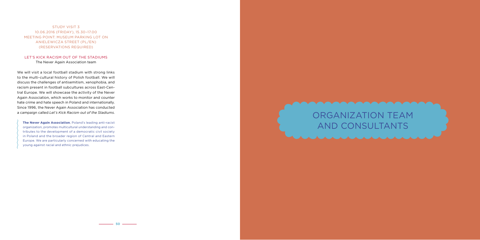Study visit 3 10.06.2016 (Friday), 15.30–17.00 Meeting point: museum parking lot on Anielewicza Street (PL/EN) (reservations required)

### Let's kick racism out of the stadiums The Never Again Association team

We will visit a local football stadium with strong links to the multi-cultural history of Polish football. We will discuss the challenges of antisemitism, xenophobia, and racism present in football subcultures across East-Central Europe. We will showcase the activity of the Never Again Association, which works to monitor and counter hate crime and hate speech in Poland and internationally. Since 1996, the Never Again Association has conducted a campaign called *Let's Kick Racism out of the Stadiums*.

**The Never Again Association**, Poland's leading anti-racist organization, promotes multicultural understanding and contributes to the development of a democratic civil society in Poland and the broader region of Central and Eastern Europe. We are particularly concerned with educating the young against racial and ethnic prejudices.